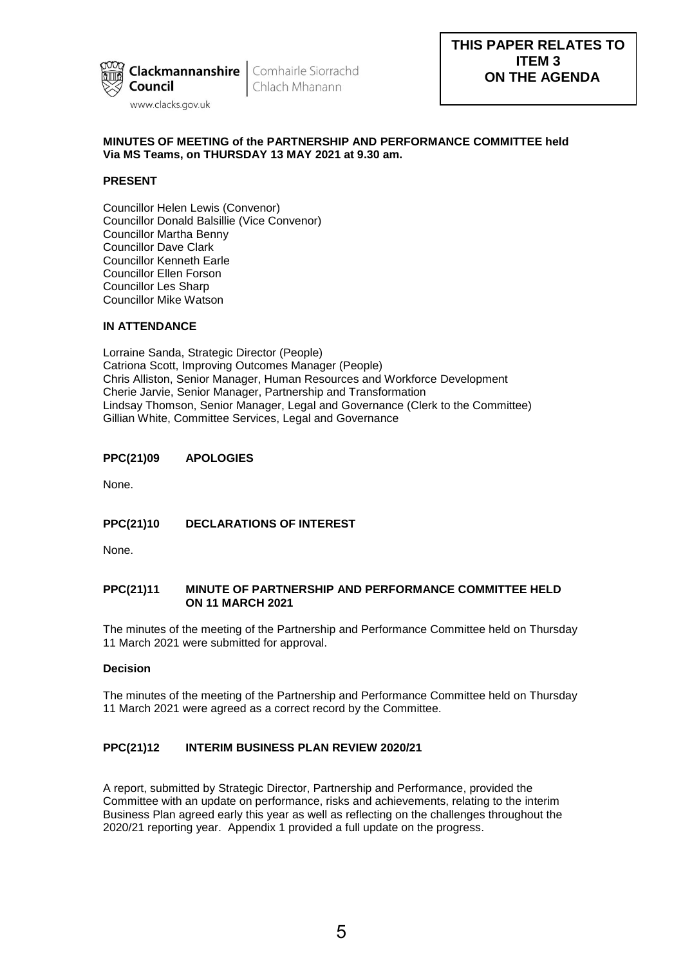

Chlach Mhanann

## **MINUTES OF MEETING of the PARTNERSHIP AND PERFORMANCE COMMITTEE held Via MS Teams, on THURSDAY 13 MAY 2021 at 9.30 am.**

# **PRESENT**

Councillor Helen Lewis (Convenor) Councillor Donald Balsillie (Vice Convenor) Councillor Martha Benny Councillor Dave Clark Councillor Kenneth Earle Councillor Ellen Forson Councillor Les Sharp Councillor Mike Watson

# **IN ATTENDANCE**

Lorraine Sanda, Strategic Director (People) Catriona Scott, Improving Outcomes Manager (People) Chris Alliston, Senior Manager, Human Resources and Workforce Development Cherie Jarvie, Senior Manager, Partnership and Transformation Lindsay Thomson, Senior Manager, Legal and Governance (Clerk to the Committee) Gillian White, Committee Services, Legal and Governance

# **PPC(21)09 APOLOGIES**

None.

# **PPC(21)10 DECLARATIONS OF INTEREST**

None.

#### **PPC(21)11 MINUTE OF PARTNERSHIP AND PERFORMANCE COMMITTEE HELD ON 11 MARCH 2021**

The minutes of the meeting of the Partnership and Performance Committee held on Thursday 11 March 2021 were submitted for approval.

#### **Decision**

The minutes of the meeting of the Partnership and Performance Committee held on Thursday 11 March 2021 were agreed as a correct record by the Committee.

# **PPC(21)12 INTERIM BUSINESS PLAN REVIEW 2020/21**

A report, submitted by Strategic Director, Partnership and Performance, provided the Committee with an update on performance, risks and achievements, relating to the interim Business Plan agreed early this year as well as reflecting on the challenges throughout the 2020/21 reporting year. Appendix 1 provided a full update on the progress.